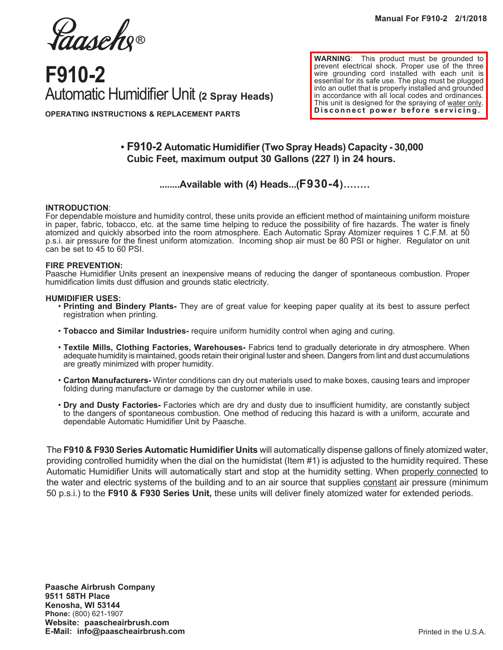Jaasche®

# **F910-2** Automatic Humidifier Unit **(2 Spray Heads)**

**WARNING**:This product must be grounded to prevent electrical shock. Proper use of the three wire grounding cord installed with each unit is essential for its safe use. The plug must be plugged into an outlet that is properly installed and grounded in accordance with all local codes and ordinances. This unit is designed for the spraying of water only. **Disconnect power before servicing.**

# **OPERATING INSTRUCTIONS & REPLACEMENT PARTS**

## **• F910-2 Automatic Humidifier (Two Spray Heads) Capacity - 30,000 Cubic Feet, maximum output 30 Gallons (227 l) in 24 hours.**

### **........Available with (4) Heads...(F930-4)........**

#### **INTRODUCTION**:

For dependable moisture and humidity control, these units provide an efficient method of maintaining uniform moisture in paper, fabric, tobacco, etc. at the same time helping to reduce the possibility of fire hazards. The water is finely atomized and quickly absorbed into the room atmosphere. Each Automatic Spray Atomizer requires 1 C.F.M. at 50 p.s.i. air pressure for the finest uniform atomization. Incoming shop air must be 80 PSI or higher. Regulator on unit can be set to 45 to 60 PSI.

#### **FIRE PREVENTION:**

Paasche Humidifier Units present an inexpensive means of reducing the danger of spontaneous combustion. Proper humidification limits dust diffusion and grounds static electricity.

#### **HUMIDIFIER USES:**

- **Printing and Bindery Plants-** They are of great value for keeping paper quality at its best to assure perfect registration when printing.
- **Tobacco and Similar Industries-** require uniform humidity control when aging and curing.
- **Textile Mills, Clothing Factories, Warehouses-** Fabrics tend to gradually deteriorate in dry atmosphere. When adequate humidity is maintained, goods retain their original luster and sheen. Dangers from lint and dust accumulations are greatly minimized with proper humidity.
- **Carton Manufacturers-** Winter conditions can dry out materials used to make boxes, causing tears and improper folding during manufacture or damage by the customer while in use.
- **Dry and Dusty Factories-** Factories which are dry and dusty due to insufficient humidity, are constantly subject to the dangers of spontaneous combustion. One method of reducing this hazard is with a uniform, accurate and dependable Automatic Humidifier Unit by Paasche.

The **F910 & F930 Series Automatic Humidifier Units** will automatically dispense gallons of finely atomized water, providing controlled humidity when the dial on the humidistat (Item #1) is adjusted to the humidity required. These Automatic Humidifier Units will automatically start and stop at the humidity setting. When properly connected to the water and electric systems of the building and to an air source that supplies constant air pressure (minimum 50 p.s.i.) to the **F910 & F930 Series Unit,** these units will deliver finely atomized water for extended periods.